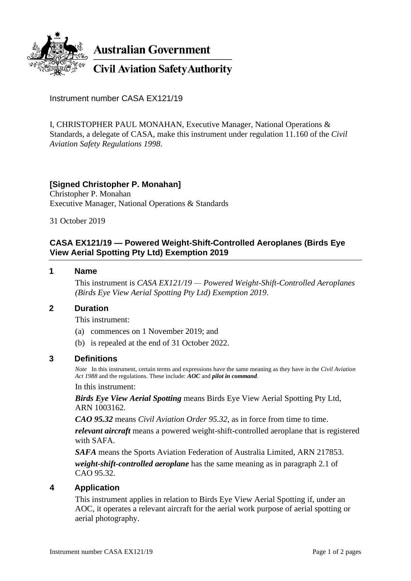

Instrument number CASA EX121/19

I, CHRISTOPHER PAUL MONAHAN, Executive Manager, National Operations & Standards, a delegate of CASA, make this instrument under regulation 11.160 of the *Civil Aviation Safety Regulations 1998*.

# **[Signed Christopher P. Monahan]**

Christopher P. Monahan Executive Manager, National Operations & Standards

31 October 2019

# **CASA EX121/19 — Powered Weight-Shift-Controlled Aeroplanes (Birds Eye View Aerial Spotting Pty Ltd) Exemption 2019**

# **1 Name**

This instrument is *CASA EX121/19 — Powered Weight-Shift-Controlled Aeroplanes (Birds Eye View Aerial Spotting Pty Ltd) Exemption 2019*.

### **2 Duration**

This instrument:

- (a) commences on 1 November 2019; and
- (b) is repealed at the end of 31 October 2022.

### **3 Definitions**

*Note* In this instrument, certain terms and expressions have the same meaning as they have in the *Civil Aviation Act 1988* and the regulations. These include: *AOC* and *pilot in command*.

#### In this instrument:

*Birds Eye View Aerial Spotting* means Birds Eye View Aerial Spotting Pty Ltd, ARN 1003162.

*CAO 95.32* means *Civil Aviation Order 95.32*, as in force from time to time.

*relevant aircraft* means a powered weight-shift-controlled aeroplane that is registered with SAFA.

*SAFA* means the Sports Aviation Federation of Australia Limited, ARN 217853. *weight-shift-controlled aeroplane* has the same meaning as in paragraph 2.1 of CAO 95.32.

# **4 Application**

This instrument applies in relation to Birds Eye View Aerial Spotting if, under an AOC, it operates a relevant aircraft for the aerial work purpose of aerial spotting or aerial photography.